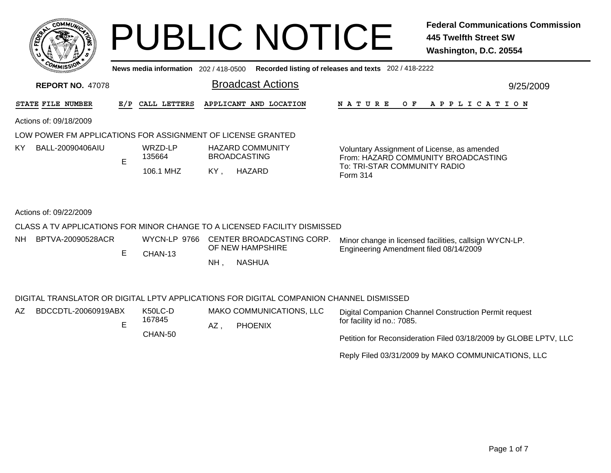|     |                 | <b>MMUNA</b><br>CO <sub>1</sub> | ¢. |        |
|-----|-----------------|---------------------------------|----|--------|
| ឆ្ន |                 |                                 |    | 2<br>磊 |
|     |                 |                                 |    |        |
|     | CO <sub>M</sub> | MISS <sup>\</sup><br>mua        |    |        |

## PUBLIC NOTICE **Federal Communications Commission 445 Twelfth Street SW Washington, D.C. 20554**

**News media information** 202 / 418-0500**Recorded listing of releases and texts** 202 / 418-2222

| <b>REPORT NO. 47078</b>  |     |                   | <b>Broadcast Actions</b>                                                  | 9/25/2009                                                                          |  |  |  |
|--------------------------|-----|-------------------|---------------------------------------------------------------------------|------------------------------------------------------------------------------------|--|--|--|
| <b>STATE FILE NUMBER</b> | E/P | CALL LETTERS      | APPLICANT AND LOCATION                                                    | N A T U R E<br>O F<br>A P P L I C A T I O N                                        |  |  |  |
| Actions of: 09/18/2009   |     |                   |                                                                           |                                                                                    |  |  |  |
|                          |     |                   | LOW POWER FM APPLICATIONS FOR ASSIGNMENT OF LICENSE GRANTED               |                                                                                    |  |  |  |
| KY.<br>BALL-20090406AIU  | E   | WRZD-LP<br>135664 | <b>HAZARD COMMUNITY</b><br><b>BROADCASTING</b>                            | Voluntary Assignment of License, as amended<br>From: HAZARD COMMUNITY BROADCASTING |  |  |  |
|                          |     | 106.1 MHZ         | KY.<br>HAZARD                                                             | To: TRI-STAR COMMUNITY RADIO<br>Form 314                                           |  |  |  |
|                          |     |                   |                                                                           |                                                                                    |  |  |  |
| Actions of: 09/22/2009   |     |                   |                                                                           |                                                                                    |  |  |  |
|                          |     |                   | CLASS A TV APPLICATIONS FOR MINOR CHANGE TO A LICENSED FACILITY DISMISSED |                                                                                    |  |  |  |
|                          |     |                   | $\mathbf{11.0}$                                                           |                                                                                    |  |  |  |

, NASHUA NHE CHAN-13Minor change in licensed facilities, callsign WYCN-LP. Engineering Amendment filed 08/14/2009 CENTER BROADCASTING CORP. OF NEW HAMPSHIRENHBPTVA-20090528ACR

## DIGITAL TRANSLATOR OR DIGITAL LPTV APPLICATIONS FOR DIGITAL COMPANION CHANNEL DISMISSED

| AZ | BDCCDTL-20060919ABX | K50LC-D |    | MAKO COMMUNICATIONS, LLC | Digital Companion Channel Construction Permit request            |
|----|---------------------|---------|----|--------------------------|------------------------------------------------------------------|
|    |                     | 167845  | AZ | <b>PHOENIX</b>           | for facility id no.: 7085.                                       |
|    |                     | CHAN-50 |    |                          | Petition for Reconsideration Filed 03/18/2009 by GLOBE LPTV, LLC |

Reply Filed 03/31/2009 by MAKO COMMUNICATIONS, LLC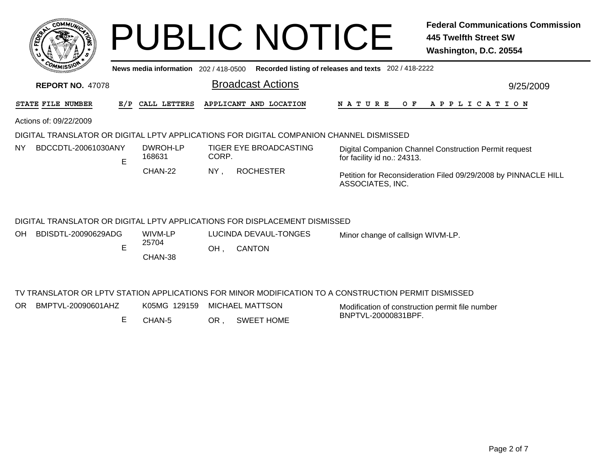|                                                                  |                                                                                                      | <b>PUBLIC NOTICE</b>                                                                    | <b>Federal Communications Commission</b><br><b>445 Twelfth Street SW</b><br>Washington, D.C. 20554 |  |  |  |  |  |  |  |
|------------------------------------------------------------------|------------------------------------------------------------------------------------------------------|-----------------------------------------------------------------------------------------|----------------------------------------------------------------------------------------------------|--|--|--|--|--|--|--|
|                                                                  | Recorded listing of releases and texts 202 / 418-2222<br>News media information $202/418-0500$       |                                                                                         |                                                                                                    |  |  |  |  |  |  |  |
| <b>Broadcast Actions</b><br><b>REPORT NO. 47078</b><br>9/25/2009 |                                                                                                      |                                                                                         |                                                                                                    |  |  |  |  |  |  |  |
| STATE FILE NUMBER                                                | CALL LETTERS<br>E/P                                                                                  | APPLICANT AND LOCATION                                                                  | A P P L I C A T I O N<br>N A T U R E<br>O F                                                        |  |  |  |  |  |  |  |
| Actions of: 09/22/2009                                           |                                                                                                      |                                                                                         |                                                                                                    |  |  |  |  |  |  |  |
|                                                                  |                                                                                                      | DIGITAL TRANSLATOR OR DIGITAL LPTV APPLICATIONS FOR DIGITAL COMPANION CHANNEL DISMISSED |                                                                                                    |  |  |  |  |  |  |  |
| BDCCDTL-20061030ANY<br>ΝY<br>E                                   | DWROH-LP<br>168631                                                                                   | TIGER EYE BROADCASTING<br>CORP.                                                         | Digital Companion Channel Construction Permit request<br>for facility id no.: 24313.               |  |  |  |  |  |  |  |
|                                                                  | CHAN-22                                                                                              | <b>ROCHESTER</b><br>NY.                                                                 | Petition for Reconsideration Filed 09/29/2008 by PINNACLE HILL<br>ASSOCIATES, INC.                 |  |  |  |  |  |  |  |
|                                                                  |                                                                                                      | DIGITAL TRANSLATOR OR DIGITAL LPTV APPLICATIONS FOR DISPLACEMENT DISMISSED              |                                                                                                    |  |  |  |  |  |  |  |
| BDISDTL-20090629ADG<br><b>OH</b>                                 | WIVM-LP                                                                                              | <b>LUCINDA DEVAUL-TONGES</b>                                                            | Minor change of callsign WIVM-LP.                                                                  |  |  |  |  |  |  |  |
| E                                                                | 25704<br>CHAN-38                                                                                     | <b>CANTON</b><br>OH,                                                                    |                                                                                                    |  |  |  |  |  |  |  |
|                                                                  | TV TRANSLATOR OR LPTV STATION APPLICATIONS FOR MINOR MODIFICATION TO A CONSTRUCTION PERMIT DISMISSED |                                                                                         |                                                                                                    |  |  |  |  |  |  |  |
| BMPTVL-20090601AHZ<br>OR.                                        | K05MG 129159                                                                                         | MICHAEL MATTSON                                                                         | Modification of construction permit file number<br>DNDTUL COOOOOADDE                               |  |  |  |  |  |  |  |

ECHAN-5 OR , SWEET HOME BNPTVL-20000831BPF.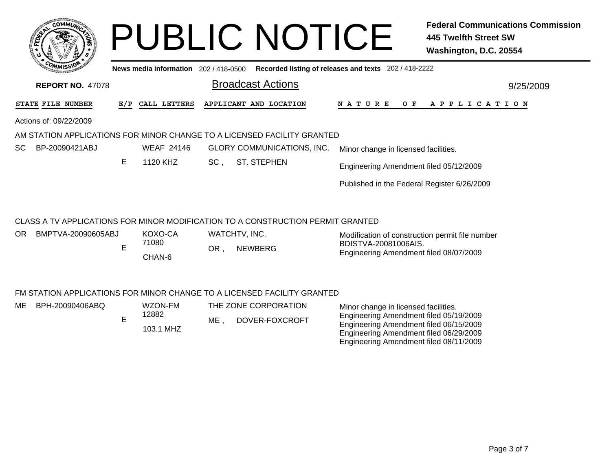|     | <b>COMMUL</b>                                                    |                         |                                       |        | <b>PUBLIC NOTICE</b>                                                            |                                                                                  | <b>Federal Communications Commission</b><br><b>445 Twelfth Street SW</b><br>Washington, D.C. 20554 |  |  |
|-----|------------------------------------------------------------------|-------------------------|---------------------------------------|--------|---------------------------------------------------------------------------------|----------------------------------------------------------------------------------|----------------------------------------------------------------------------------------------------|--|--|
|     |                                                                  |                         | News media information 202 / 418-0500 |        |                                                                                 | Recorded listing of releases and texts 202 / 418-2222                            |                                                                                                    |  |  |
|     | <b>Broadcast Actions</b><br><b>REPORT NO. 47078</b><br>9/25/2009 |                         |                                       |        |                                                                                 |                                                                                  |                                                                                                    |  |  |
|     | STATE FILE NUMBER                                                | E/P                     | CALL LETTERS                          |        | APPLICANT AND LOCATION                                                          | <b>NATURE</b><br>O F                                                             | A P P L I C A T I O N                                                                              |  |  |
|     | Actions of: 09/22/2009                                           |                         |                                       |        |                                                                                 |                                                                                  |                                                                                                    |  |  |
|     |                                                                  |                         |                                       |        | AM STATION APPLICATIONS FOR MINOR CHANGE TO A LICENSED FACILITY GRANTED         |                                                                                  |                                                                                                    |  |  |
| SC. | BP-20090421ABJ                                                   |                         | <b>WEAF 24146</b>                     |        | <b>GLORY COMMUNICATIONS, INC.</b>                                               | Minor change in licensed facilities.                                             |                                                                                                    |  |  |
|     |                                                                  | E                       | 1120 KHZ<br>$SC$ ,                    |        | <b>ST. STEPHEN</b>                                                              | Engineering Amendment filed 05/12/2009                                           |                                                                                                    |  |  |
|     |                                                                  |                         |                                       |        |                                                                                 | Published in the Federal Register 6/26/2009                                      |                                                                                                    |  |  |
|     |                                                                  |                         |                                       |        | CLASS A TV APPLICATIONS FOR MINOR MODIFICATION TO A CONSTRUCTION PERMIT GRANTED |                                                                                  |                                                                                                    |  |  |
| OR. | BMPTVA-20090605ABJ                                               | E                       | KOXO-CA                               |        | WATCHTV, INC.                                                                   | Modification of construction permit file number                                  |                                                                                                    |  |  |
|     |                                                                  |                         | 71080                                 | OR,    | <b>NEWBERG</b>                                                                  | BDISTVA-20081006AIS.<br>Engineering Amendment filed 08/07/2009                   |                                                                                                    |  |  |
|     |                                                                  |                         | CHAN-6                                |        |                                                                                 |                                                                                  |                                                                                                    |  |  |
|     |                                                                  |                         |                                       |        | FM STATION APPLICATIONS FOR MINOR CHANGE TO A LICENSED FACILITY GRANTED         |                                                                                  |                                                                                                    |  |  |
| ME. | BPH-20090406ABQ                                                  |                         | WZON-FM                               |        | THE ZONE CORPORATION                                                            | Minor change in licensed facilities.                                             |                                                                                                    |  |  |
|     |                                                                  | 12882<br>E<br>103.1 MHZ |                                       | $ME$ , | DOVER-FOXCROFT                                                                  | Engineering Amendment filed 05/19/2009<br>Engineering Amendment filed 06/15/2009 |                                                                                                    |  |  |
|     |                                                                  |                         |                                       |        |                                                                                 | Engineering Amendment filed 06/29/2009<br>Engineering Amendment filed 08/11/2009 |                                                                                                    |  |  |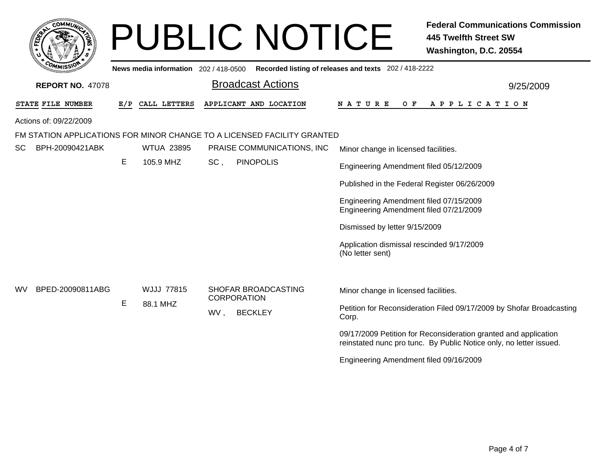| <b>COMMUT</b>                                                    |     |                                       |     | <b>PUBLIC NOTICE</b>                                                    |                                                                                  | <b>Federal Communications Commission</b><br><b>445 Twelfth Street SW</b><br>Washington, D.C. 20554                                    |  |  |  |
|------------------------------------------------------------------|-----|---------------------------------------|-----|-------------------------------------------------------------------------|----------------------------------------------------------------------------------|---------------------------------------------------------------------------------------------------------------------------------------|--|--|--|
|                                                                  |     | News media information 202 / 418-0500 |     |                                                                         | Recorded listing of releases and texts 202 / 418-2222                            |                                                                                                                                       |  |  |  |
| <b>Broadcast Actions</b><br><b>REPORT NO. 47078</b><br>9/25/2009 |     |                                       |     |                                                                         |                                                                                  |                                                                                                                                       |  |  |  |
| STATE FILE NUMBER                                                | E/P | CALL LETTERS                          |     | APPLICANT AND LOCATION                                                  | N A T U R E<br>O F                                                               | A P P L I C A T I O N                                                                                                                 |  |  |  |
| Actions of: 09/22/2009                                           |     |                                       |     |                                                                         |                                                                                  |                                                                                                                                       |  |  |  |
|                                                                  |     |                                       |     | FM STATION APPLICATIONS FOR MINOR CHANGE TO A LICENSED FACILITY GRANTED |                                                                                  |                                                                                                                                       |  |  |  |
| <b>SC</b><br>BPH-20090421ABK                                     |     | <b>WTUA 23895</b>                     |     | PRAISE COMMUNICATIONS, INC                                              | Minor change in licensed facilities.                                             |                                                                                                                                       |  |  |  |
|                                                                  | Е   | 105.9 MHZ                             | SC, | <b>PINOPOLIS</b>                                                        | Engineering Amendment filed 05/12/2009                                           |                                                                                                                                       |  |  |  |
|                                                                  |     |                                       |     |                                                                         | Published in the Federal Register 06/26/2009                                     |                                                                                                                                       |  |  |  |
|                                                                  |     |                                       |     |                                                                         | Engineering Amendment filed 07/15/2009<br>Engineering Amendment filed 07/21/2009 |                                                                                                                                       |  |  |  |
|                                                                  |     |                                       |     |                                                                         | Dismissed by letter 9/15/2009                                                    |                                                                                                                                       |  |  |  |
|                                                                  |     |                                       |     |                                                                         | Application dismissal rescinded 9/17/2009<br>(No letter sent)                    |                                                                                                                                       |  |  |  |
|                                                                  |     |                                       |     |                                                                         |                                                                                  |                                                                                                                                       |  |  |  |
| BPED-20090811ABG<br>wv                                           |     | <b>WJJJ 77815</b>                     |     | SHOFAR BROADCASTING<br><b>CORPORATION</b>                               | Minor change in licensed facilities.                                             |                                                                                                                                       |  |  |  |
|                                                                  | Е   | 88.1 MHZ                              | WV, | <b>BECKLEY</b>                                                          | Corp.                                                                            | Petition for Reconsideration Filed 09/17/2009 by Shofar Broadcasting                                                                  |  |  |  |
|                                                                  |     |                                       |     |                                                                         |                                                                                  | 09/17/2009 Petition for Reconsideration granted and application<br>reinstated nunc pro tunc. By Public Notice only, no letter issued. |  |  |  |
|                                                                  |     |                                       |     |                                                                         | Engineering Amendment filed 09/16/2009                                           |                                                                                                                                       |  |  |  |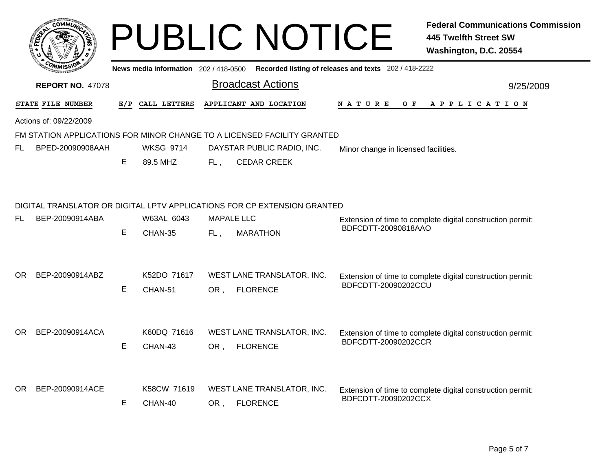|      | <b>OMMUT</b>            |     |                                       |     | <b>PUBLIC NOTICE</b>                                                     |                                                       | <b>Federal Communications Commission</b><br><b>445 Twelfth Street SW</b><br>Washington, D.C. 20554 |  |  |  |
|------|-------------------------|-----|---------------------------------------|-----|--------------------------------------------------------------------------|-------------------------------------------------------|----------------------------------------------------------------------------------------------------|--|--|--|
|      |                         |     | News media information 202 / 418-0500 |     |                                                                          | Recorded listing of releases and texts 202 / 418-2222 |                                                                                                    |  |  |  |
|      | <b>REPORT NO. 47078</b> |     |                                       |     | <b>Broadcast Actions</b>                                                 |                                                       | 9/25/2009                                                                                          |  |  |  |
|      | STATE FILE NUMBER       | E/P | CALL LETTERS                          |     | APPLICANT AND LOCATION                                                   | N A T U R E<br>O F                                    | A P P L I C A T I O N                                                                              |  |  |  |
|      | Actions of: 09/22/2009  |     |                                       |     |                                                                          |                                                       |                                                                                                    |  |  |  |
|      |                         |     |                                       |     | FM STATION APPLICATIONS FOR MINOR CHANGE TO A LICENSED FACILITY GRANTED  |                                                       |                                                                                                    |  |  |  |
| FL   | BPED-20090908AAH        |     | <b>WKSG 9714</b>                      |     | DAYSTAR PUBLIC RADIO, INC.                                               | Minor change in licensed facilities.                  |                                                                                                    |  |  |  |
|      |                         | E   | 89.5 MHZ                              | FL. | <b>CEDAR CREEK</b>                                                       |                                                       |                                                                                                    |  |  |  |
|      |                         |     |                                       |     |                                                                          |                                                       |                                                                                                    |  |  |  |
|      |                         |     |                                       |     | DIGITAL TRANSLATOR OR DIGITAL LPTV APPLICATIONS FOR CP EXTENSION GRANTED |                                                       |                                                                                                    |  |  |  |
| FL   | BEP-20090914ABA         |     | W63AL 6043                            |     | <b>MAPALE LLC</b>                                                        |                                                       | Extension of time to complete digital construction permit:                                         |  |  |  |
|      |                         | E.  | CHAN-35                               | FL, | <b>MARATHON</b>                                                          | BDFCDTT-20090818AAO                                   |                                                                                                    |  |  |  |
|      |                         |     |                                       |     |                                                                          |                                                       |                                                                                                    |  |  |  |
| OR.  | BEP-20090914ABZ         |     | K52DO 71617                           |     | WEST LANE TRANSLATOR, INC.                                               |                                                       | Extension of time to complete digital construction permit:                                         |  |  |  |
|      |                         | E   | CHAN-51                               | OR, | <b>FLORENCE</b>                                                          | BDFCDTT-20090202CCU                                   |                                                                                                    |  |  |  |
|      |                         |     |                                       |     |                                                                          |                                                       |                                                                                                    |  |  |  |
|      |                         |     |                                       |     |                                                                          |                                                       |                                                                                                    |  |  |  |
| OR . | BEP-20090914ACA         |     | K60DQ 71616                           |     | WEST LANE TRANSLATOR, INC.                                               |                                                       | Extension of time to complete digital construction permit:                                         |  |  |  |
|      |                         | E   | CHAN-43                               | OR, | <b>FLORENCE</b>                                                          | BDFCDTT-20090202CCR                                   |                                                                                                    |  |  |  |
|      |                         |     |                                       |     |                                                                          |                                                       |                                                                                                    |  |  |  |
|      |                         |     |                                       |     |                                                                          |                                                       |                                                                                                    |  |  |  |
| OR . | BEP-20090914ACE         |     | K58CW 71619                           |     | WEST LANE TRANSLATOR, INC.                                               | BDFCDTT-20090202CCX                                   | Extension of time to complete digital construction permit:                                         |  |  |  |
|      |                         | E   | CHAN-40                               | OR, | <b>FLORENCE</b>                                                          |                                                       |                                                                                                    |  |  |  |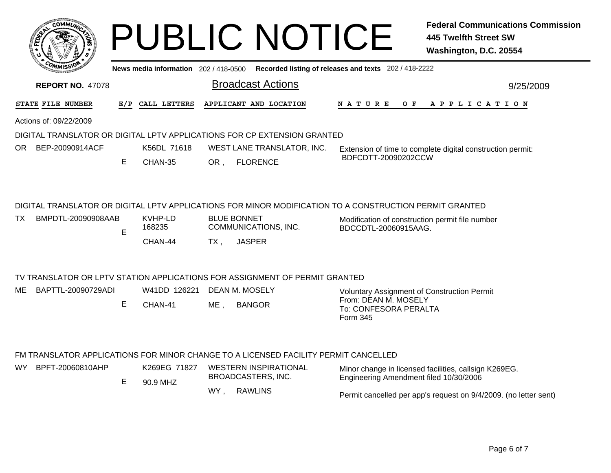| COMMUL                 |                         |    |                  |     |                          | <b>PUBLIC NOTICE</b>                                                        |                                                                                                         | <b>Federal Communications Commission</b><br>445 Twelfth Street SW<br>Washington, D.C. 20554 |
|------------------------|-------------------------|----|------------------|-----|--------------------------|-----------------------------------------------------------------------------|---------------------------------------------------------------------------------------------------------|---------------------------------------------------------------------------------------------|
|                        |                         |    |                  |     |                          |                                                                             | News media information 202/418-0500 Recorded listing of releases and texts 202/418-2222                 |                                                                                             |
|                        | <b>REPORT NO. 47078</b> |    |                  |     | <b>Broadcast Actions</b> |                                                                             |                                                                                                         | 9/25/2009                                                                                   |
| STATE FILE NUMBER      |                         |    | E/P CALL LETTERS |     |                          | APPLICANT AND LOCATION                                                      |                                                                                                         | NATURE OF APPLICATION                                                                       |
| Actions of: 09/22/2009 |                         |    |                  |     |                          |                                                                             |                                                                                                         |                                                                                             |
|                        |                         |    |                  |     |                          | DIGITAL TRANSLATOR OR DIGITAL LPTV APPLICATIONS FOR CP EXTENSION GRANTED    |                                                                                                         |                                                                                             |
| OR BEP-20090914ACF     |                         |    | K56DL 71618      |     |                          | WEST LANE TRANSLATOR, INC.                                                  |                                                                                                         | Extension of time to complete digital construction permit:                                  |
|                        |                         | E. | CHAN-35          | OR. | <b>FLORENCE</b>          |                                                                             | BDFCDTT-20090202CCW                                                                                     |                                                                                             |
|                        |                         |    |                  |     |                          |                                                                             | DIGITAL TRANSLATOR OR DIGITAL LPTV APPLICATIONS FOR MINOR MODIFICATION TO A CONSTRUCTION PERMIT GRANTED |                                                                                             |
| ТX                     | BMPDTL-20090908AAB      |    | KVHP-LD          |     | <b>BLUE BONNET</b>       |                                                                             | Modification of construction permit file number                                                         |                                                                                             |
|                        |                         | E  | 168235           |     |                          | COMMUNICATIONS, INC.                                                        | BDCCDTL-20060915AAG.                                                                                    |                                                                                             |
|                        |                         |    | CHAN-44          | TX. | <b>JASPER</b>            |                                                                             |                                                                                                         |                                                                                             |
|                        |                         |    |                  |     |                          | TV TRANSLATOR OR LPTV STATION APPLICATIONS FOR ASSIGNMENT OF PERMIT GRANTED |                                                                                                         |                                                                                             |
| ME                     | BAPTTL-20090729ADI      |    | W41DD 126221     |     | DEAN M. MOSELY           |                                                                             | Voluntary Assignment of Construction Permit                                                             |                                                                                             |
|                        |                         | Е  | CHAN-41          | ME. | <b>BANGOR</b>            |                                                                             | From: DEAN M. MOSELY<br>To: CONFESORA PERALTA<br>Form 345                                               |                                                                                             |

## FM TRANSLATOR APPLICATIONS FOR MINOR CHANGE TO A LICENSED FACILITY PERMIT CANCELLED

| WY l | BPFT-20060810AHP |  | K269EG 71827<br>90.9 MHZ | WESTERN INSPIRATIONAL<br>BROADCASTERS, INC. | Minor change in licensed facilities, callsign K269EG.<br>Engineering Amendment filed 10/30/2006 |  |
|------|------------------|--|--------------------------|---------------------------------------------|-------------------------------------------------------------------------------------------------|--|
|      |                  |  |                          | <b>WY</b><br><b>RAWLINS</b>                 | Permit cancelled per app's request on 9/4/2009. (no letter sent)                                |  |